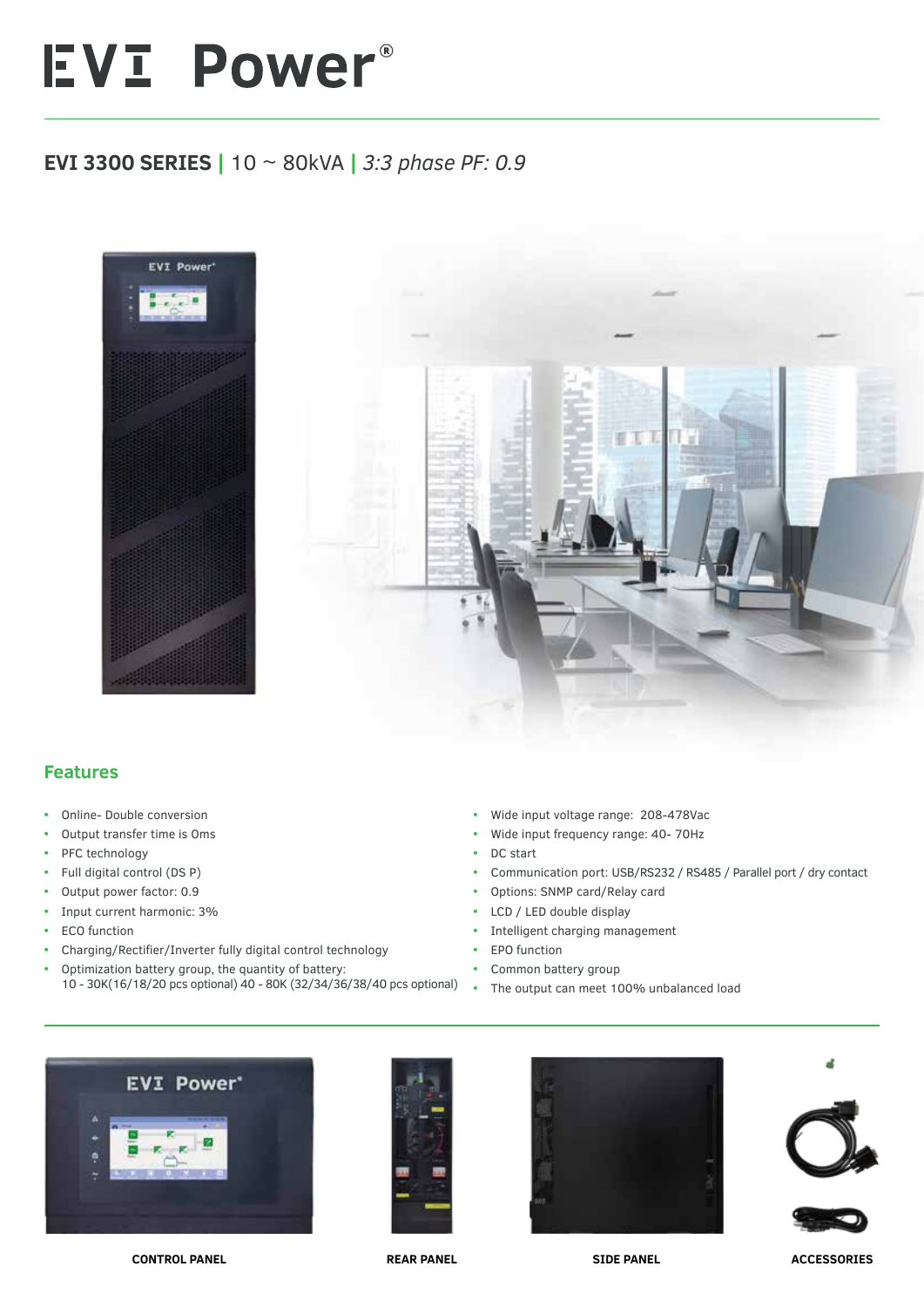## EVI Power®

## **EVI 3300 SERIES |** 10 ~ 80kVA **|** *3:3 phase PF: 0.9*



## **Features**

- **•** Online- Double conversion
- **•** Output transfer time is Oms
- **•** PFC technology
- **•** Full digital control (DS P)
- **•** Output power factor: 0.9
- **•** Input current harmonic: 3%
- **•** ECO function
- **•** Charging/Rectifier/Inverter fully digital control technology
- **•** Optimization battery group, the quantity of battery: 10 - 30K(16/18/20 pcs optional) 40 - 80K (32/34/36/38/40 pcs optional)
- **•** Wide input voltage range: 208-478Vac
- **•** Wide input frequency range: 40- 70Hz
- **•** DC start
- **•** Communication port: USB/RS232 / RS485 / Parallel port / dry contact
- **•** Options: SNMP card/Relay card
- **•** LCD / LED double display
- **•** Intelligent charging management
- **•** EPO function
- **•** Common battery group
- **•** The output can meet 100% unbalanced load











**CONTROL PANEL REAR PANEL SIDE PANEL ACCESSORIES**